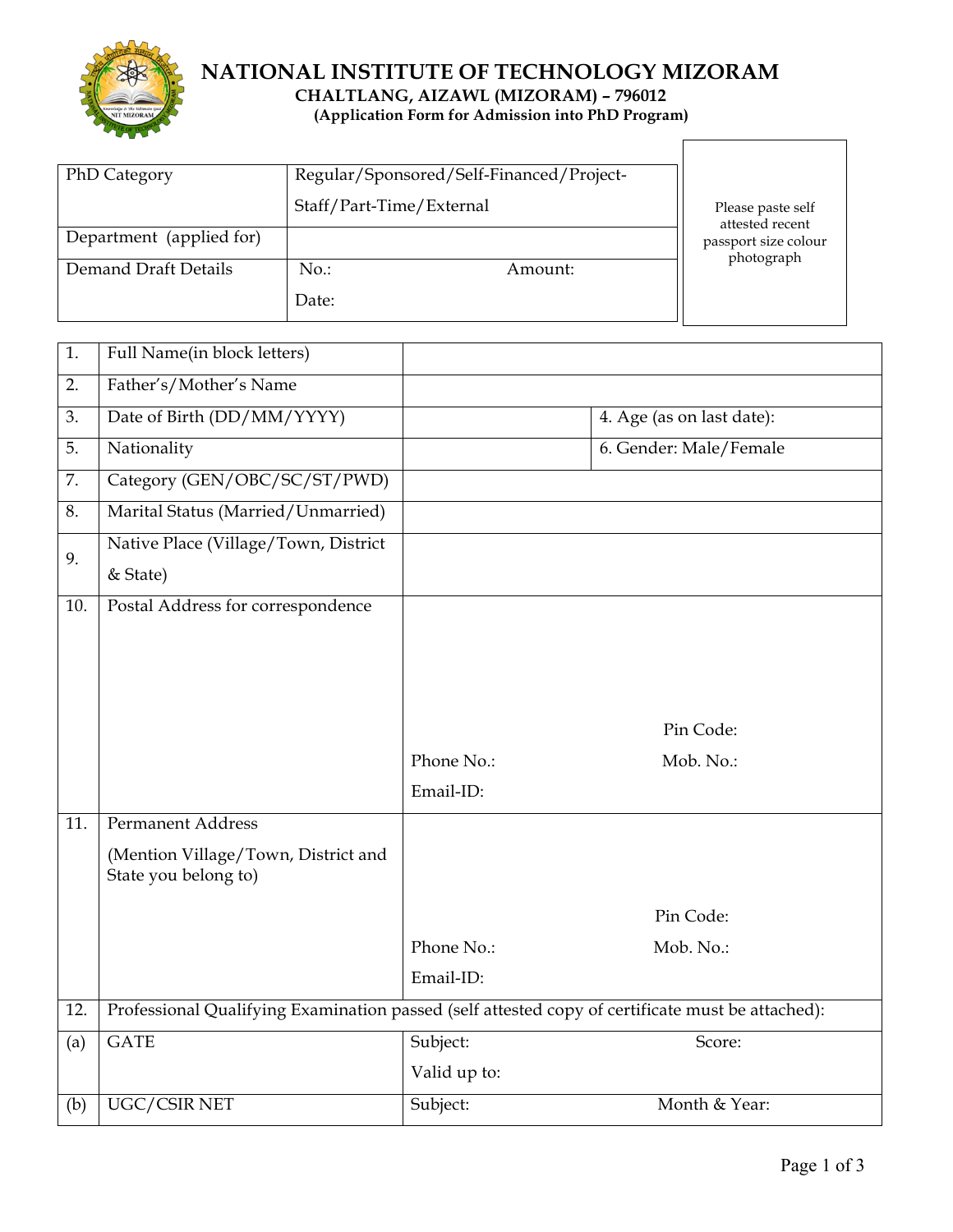

# **NATIONAL INSTITUTE OF TECHNOLOGY MIZORAM (Application Form for Admission into PhD Program)**

 $\mathsf{l}$ 

| <b>PhD Category</b>      | Regular/Sponsored/Self-Financed/Project- |                                      |  |
|--------------------------|------------------------------------------|--------------------------------------|--|
|                          | Staff/Part-Time/External                 | Please paste self<br>attested recent |  |
| Department (applied for) |                                          | passport size colour                 |  |
| Demand Draft Details     | $No.$ :<br>Amount:                       | photograph                           |  |
|                          | Date:                                    |                                      |  |

| 1.  | Full Name(in block letters)                                                                      |              |                           |
|-----|--------------------------------------------------------------------------------------------------|--------------|---------------------------|
| 2.  | Father's/Mother's Name                                                                           |              |                           |
| 3.  | Date of Birth (DD/MM/YYYY)                                                                       |              | 4. Age (as on last date): |
| 5.  | Nationality                                                                                      |              | 6. Gender: Male/Female    |
| 7.  | Category (GEN/OBC/SC/ST/PWD)                                                                     |              |                           |
| 8.  | Marital Status (Married/Unmarried)                                                               |              |                           |
| 9.  | Native Place (Village/Town, District                                                             |              |                           |
|     | & State)                                                                                         |              |                           |
| 10. | Postal Address for correspondence                                                                |              |                           |
|     |                                                                                                  |              |                           |
|     |                                                                                                  |              |                           |
|     |                                                                                                  |              |                           |
|     |                                                                                                  |              | Pin Code:                 |
|     |                                                                                                  | Phone No.:   | Mob. No.:                 |
|     |                                                                                                  | Email-ID:    |                           |
| 11. | <b>Permanent Address</b>                                                                         |              |                           |
|     | (Mention Village/Town, District and<br>State you belong to)                                      |              |                           |
|     |                                                                                                  |              | Pin Code:                 |
|     |                                                                                                  | Phone No.:   | Mob. No.:                 |
|     |                                                                                                  | Email-ID:    |                           |
| 12. | Professional Qualifying Examination passed (self attested copy of certificate must be attached): |              |                           |
| (a) | <b>GATE</b>                                                                                      | Subject:     | Score:                    |
|     |                                                                                                  | Valid up to: |                           |
| (b) | UGC/CSIR NET                                                                                     | Subject:     | Month & Year:             |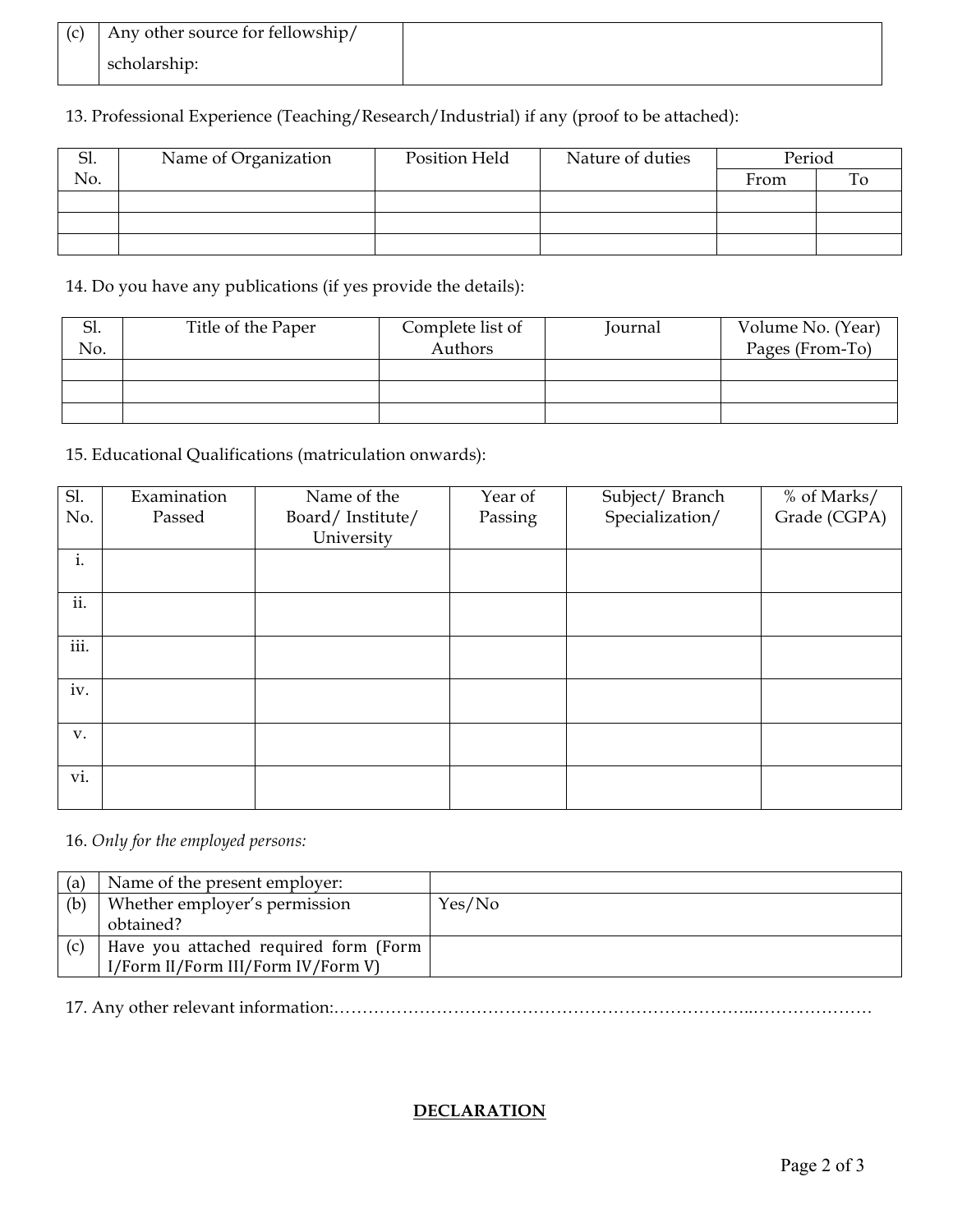| (c) | Any other source for fellowship/ |  |
|-----|----------------------------------|--|
|     | scholarship:                     |  |

| 13. Professional Experience (Teaching/Research/Industrial) if any (proof to be attached): |  |  |
|-------------------------------------------------------------------------------------------|--|--|
|                                                                                           |  |  |

| .וכ | Name of Organization | Position Held | Nature of duties | Period |  |
|-----|----------------------|---------------|------------------|--------|--|
| No. |                      |               |                  | From   |  |
|     |                      |               |                  |        |  |
|     |                      |               |                  |        |  |
|     |                      |               |                  |        |  |

14. Do you have any publications (if yes provide the details):

| Sl. | Title of the Paper | Complete list of | Journal | Volume No. (Year) |
|-----|--------------------|------------------|---------|-------------------|
| No. |                    | Authors          |         | Pages (From-To)   |
|     |                    |                  |         |                   |
|     |                    |                  |         |                   |
|     |                    |                  |         |                   |

## 15. Educational Qualifications (matriculation onwards):

| Sl.  | Examination | Name of the      | Year of | Subject/Branch  | % of Marks/  |
|------|-------------|------------------|---------|-----------------|--------------|
| No.  | Passed      | Board/Institute/ | Passing | Specialization/ | Grade (CGPA) |
|      |             | University       |         |                 |              |
| i.   |             |                  |         |                 |              |
|      |             |                  |         |                 |              |
| ii.  |             |                  |         |                 |              |
|      |             |                  |         |                 |              |
| iii. |             |                  |         |                 |              |
|      |             |                  |         |                 |              |
| iv.  |             |                  |         |                 |              |
|      |             |                  |         |                 |              |
| V.   |             |                  |         |                 |              |
|      |             |                  |         |                 |              |
| vi.  |             |                  |         |                 |              |
|      |             |                  |         |                 |              |

### 16. *Only for the employed persons:*

| (a) | Name of the present employer:         |        |
|-----|---------------------------------------|--------|
| (b) | Whether employer's permission         | Yes/No |
|     | obtained?                             |        |
| (c) | Have you attached required form (Form |        |
|     | I/Form II/Form III/Form IV/Form V)    |        |

17. Any other relevant information:………………………………………………………………..…………………

### **DECLARATION**